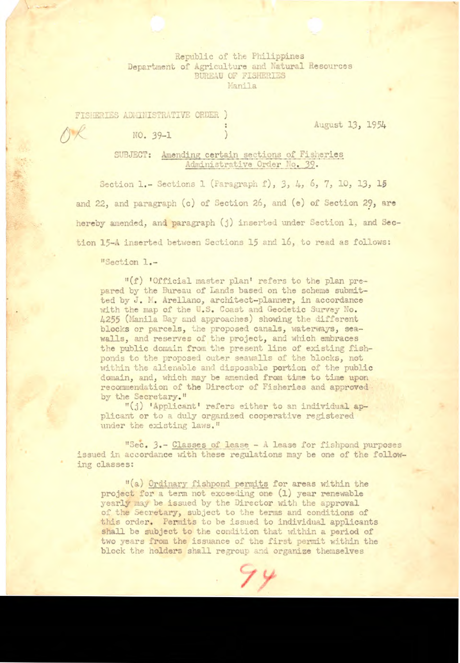Republic of the Philippines Department of Agriculture and Natural Resources BUREAU OF FISHERIES Manila

FISHERIES ADMINISTRATIVE ORDER ) O *R* NO. 39-1 } August 13, 1954

SUBJECT: Amending certain sections of Fisheries Administrative Order No. 39.

Section 1.- Sections 1 (Paragraph f), 3, 4, 6, 7, 10, 13, 15 and 22, and paragraph (c) of Section 26, and (e) of Section 29, are hereby amended, and paragraph (j) inserted under Section 1, and Section 15-A inserted between Sections 15 and 16, to read as follows:

"Section 1.-

**小學醫院第一** 

"(f) 'Official master plant refers to the plan prepared by the Bureau of Lands based on the scheme submitted by J. M. Arellano, architect-planner, in accordance with the map of the U.S. Coast and Geodetic Survey No. 4255 (Manila Bay and approaches) showing the different blocks or parcels, the proposed canals, waterys, seawalls, and reserves of the project, and which embraces the public domain from the present line of existing fishponds to the proposed outer seawalls of the blocks, not within the alienable and disposable portion of the public domain, and, which may be amended from time to time upon recommendation of the Director of Fisheries and approved by the Secretary."

"(j) 'Applicant' refers either to an individual applicant or to a duly organized cooperative registered under the existing laws."

"Sec. 3.- Classes of lease - A lease for fishpond purposes issued in accordance with these regulations may be one of the following classes:

"(a) Ordinary fishpond permits for areas within the project for a term not exceeding one (1) year renewable yearly may be issued by the Director with the approval of the Secretary, subject to the terms and conditions of this order. Permits to be issued to individual applicants shall be subject to the condition that within a period of two years from the issuance of the first permit within the block the holders shall regroup and organize themselves

74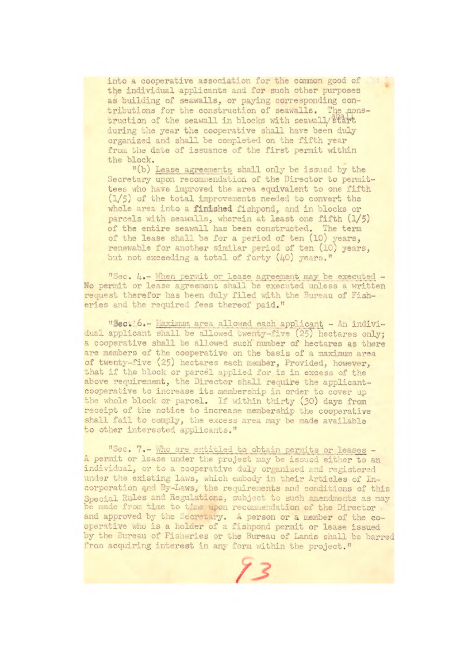into a cooperative association for the common good of the individual applicants and for such other purposes as building of seawalls, or paying corresponding contributions for the construction of seawalls. The cpnstruction of the seawall in blocks with seawall/ start during the year the cooperative shall have been duly organized and shall be completed on the fifth year from the date of issuance of the first permit within the block.

"(b) Lease agreements shall only be issued by the Secretary upon recommendation of the Director to permittees who have improved the area equivalent to one fifth  $(1/5)$  of the total improvements needed to convert the whole area into a **finished** fishpond, and in blocks or parcels with seawalls, wherein at least one fifth  $(1/5)$ of the entire seawall has been constructed. The term of the lease shall be for a period of ten (10) years, renewable for another similar period of ten (10) years, but not exceeding a total of forty (40) years."

"Sec. 4.- When permit or lease agreement may be executed -No permit or lease agreement shall be executed unless a written request therefor has been duly filed with the Bureau of Fisheries and the required fees thereof paid."

**"sec.** 6.- haxjmin area allowed each applicant - In mdlvidual applicant shall be allowed twenty-five (25) hectares only; a cooperative shall be allowed such number of hectares as there are members of the cooperative on the basis of a maximum area of twenty-five (25) hectares each member, Provided, however, that if the block or parcel applied for is in excess of the above requirement, the Director shall require the applicantcooperative to increase its membership in order to cover up the whole block or parcel. if within thirty (30) days from receipt of the notice to increase membership the cooperative shall fail to comply, the excess area may be made available to other interested applicants."

"Sec. 7.- hio are entitled to obtain permits or leases - A permit or lease under the project may be issued either to an individual, or to a cooperative duly organized and registered *undcr the* existing laws, which enibody in their Articles of Incorporation qnd By-Lws, the requirements and conditions of this Special Rules and Regulations, subject to such amendments as may be made from time to time upon recommendation of the Director and approved by the Lecretary. A person or a member of the **co**operative who is a holder of a fishpond permit or lease issued by the Bureau of Fisheries or the Bureau of Lands shall be barred from acquiring interest in any form within the project." /3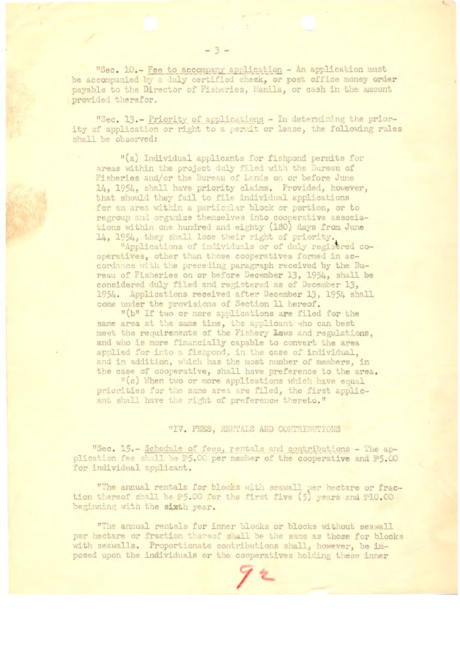"Sec. 10.- Fee to accompany application - An application must be accompanied by a duly certified check, or post office money order payable to the Director of Fisheries, Manila, or cash in the amount provided therefor.

"Sec. 13.- Priority of applications - In determining the priority of application or right to a permit or lease, the following rules shall be observed:

"(a) Individual applicants for fishpond permits for areas within the project duly filed with the Bureau of Fisheries and/or the Bureau of Lands on or before June 14, 1954, shall have priority claims. Provided, however, that should they fail to file individual applications for an area within a particular block or portion, or to regroup and organize themselves into cooperative associations within one hundred and eighty (180) days from June 14, 1954, they shall lose their right of priority.<br>"Applications of individuals or of duly regisered co-

operatives, other than those cooperatives formed in accordance with the preceding paragraph received by the Bureau of Fisheries on or before December 13, 1954, shall be considered duly filed and registered as of December 13, 1954. Applications received after December 13, 1954 shall come under the provisions of Section 11 hereof.

"(b" If two or more applications are filed for the same area at the same time, the applicant who can best meet the requirements of the Fishery Laws and regulations, and who is more financially capable to convert the area applied for into a fishpond, in the case of individual, and in addition, which has the most number of members, in the case of cooperative, shall have preference to the area.

"(c) When two or more applications which have equal priorities for the same area are filed, the first applicant shall have the right of preference thereto."

## "IV. FEES, RENTALS AND CONTRIBUTIONS

"Sec. 15.- Schedule of fees, rentals and contributions - The application fee shall be #5.00 per member of the cooperative and #5.00 for individual applicant.

"The annual rentals for blocks with seawall per hectare or fraction thereof shall be #5.00 for the first five (5) years and #10.00 beginning with the sixth year.

"The annual rentals for inner blocks or blocks without seawall per hectare or fraction thereof shall be the same as those for blocks with seawalls. Proportionate contributions shall, however, be imposed upon the individuals or the cooperatives holding these inner

 $-3-$